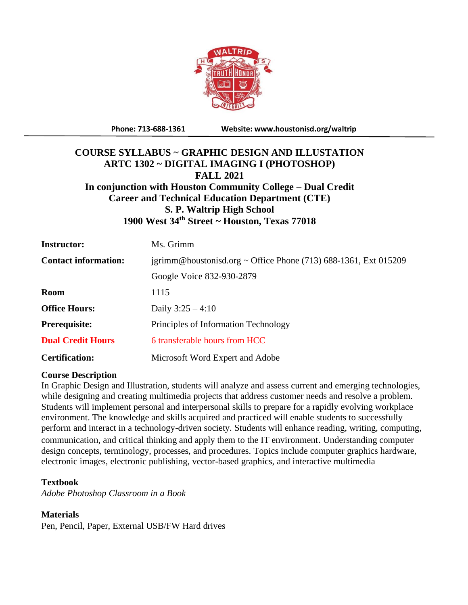

**Phone: 713-688-1361 Website: www.houstonisd.org/waltrip**

# **COURSE SYLLABUS ~ GRAPHIC DESIGN AND ILLUSTATION ARTC 1302 ~ DIGITAL IMAGING I (PHOTOSHOP) FALL 2021 In conjunction with Houston Community College – Dual Credit Career and Technical Education Department (CTE) S. P. Waltrip High School 1900 West 34th Street ~ Houston, Texas 77018**

| <b>Instructor:</b>          | Ms. Grimm                                                         |  |
|-----------------------------|-------------------------------------------------------------------|--|
| <b>Contact information:</b> | igrimm@houstonisd.org ~ Office Phone $(713)$ 688-1361, Ext 015209 |  |
|                             | Google Voice 832-930-2879                                         |  |
| <b>Room</b>                 | 1115                                                              |  |
| <b>Office Hours:</b>        | Daily $3:25 - 4:10$                                               |  |
| <b>Prerequisite:</b>        | Principles of Information Technology                              |  |
| <b>Dual Credit Hours</b>    | 6 transferable hours from HCC                                     |  |
| <b>Certification:</b>       | Microsoft Word Expert and Adobe                                   |  |

#### **Course Description**

In Graphic Design and Illustration, students will analyze and assess current and emerging technologies, while designing and creating multimedia projects that address customer needs and resolve a problem. Students will implement personal and interpersonal skills to prepare for a rapidly evolving workplace environment. The knowledge and skills acquired and practiced will enable students to successfully perform and interact in a technology-driven society. Students will enhance reading, writing, computing, communication, and critical thinking and apply them to the IT environment. Understanding computer design concepts, terminology, processes, and procedures. Topics include computer graphics hardware, electronic images, electronic publishing, vector-based graphics, and interactive multimedia

#### **Textbook**

*Adobe Photoshop Classroom in a Book*

#### **Materials**

Pen, Pencil, Paper, External USB/FW Hard drives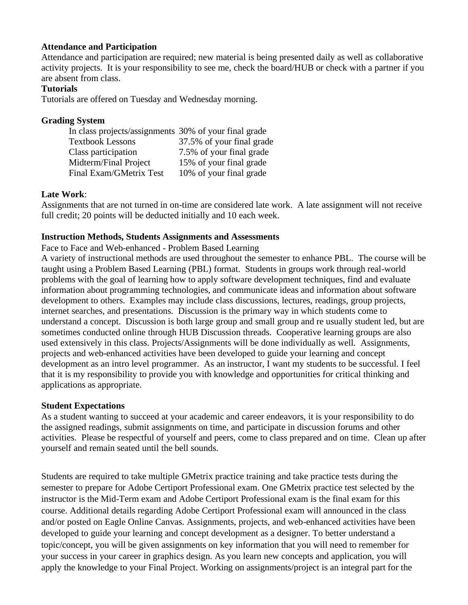## **Attendance and Participation**

Attendance and participation are required; new material is being presented daily as well as collaborative activity projects. It is your responsibility to see me, check the board/HUB or check with a partner if you are absent from class.

# **Tutorials**

Tutorials are offered on Tuesday and Wednesday morning.

#### **Grading System**

| In class projects/assignments 30% of your final grade |                           |
|-------------------------------------------------------|---------------------------|
| <b>Textbook Lessons</b>                               | 37.5% of your final grade |
| Class participation                                   | 7.5% of your final grade  |
| Midterm/Final Project                                 | 15% of your final grade   |
| Final Exam/GMetrix Test                               | 10% of your final grade   |

#### **Late Work**:

Assignments that are not turned in on-time are considered late work. A late assignment will not receive full credit; 20 points will be deducted initially and 10 each week.

#### **Instruction Methods, Students Assignments and Assessments**

Face to Face and Web-enhanced - Problem Based Learning

A variety of instructional methods are used throughout the semester to enhance PBL. The course will be taught using a Problem Based Learning (PBL) format. Students in groups work through real-world problems with the goal of learning how to apply software development techniques, find and evaluate information about programming technologies, and communicate ideas and information about software development to others. Examples may include class discussions, lectures, readings, group projects, internet searches, and presentations. Discussion is the primary way in which students come to understand a concept. Discussion is both large group and small group and re usually student led, but are sometimes conducted online through HUB Discussion threads. Cooperative learning groups are also used extensively in this class. Projects/Assignments will be done individually as well. Assignments, projects and web-enhanced activities have been developed to guide your learning and concept development as an intro level programmer. As an instructor, I want my students to be successful. I feel that it is my responsibility to provide you with knowledge and opportunities for critical thinking and applications as appropriate.

#### **Student Expectations**

As a student wanting to succeed at your academic and career endeavors, it is your responsibility to do the assigned readings, submit assignments on time, and participate in discussion forums and other activities. Please be respectful of yourself and peers, come to class prepared and on time. Clean up after yourself and remain seated until the bell sounds.

Students are required to take multiple GMetrix practice training and take practice tests during the semester to prepare for Adobe Certiport Professional exam. One GMetrix practice test selected by the instructor is the Mid-Term exam and Adobe Certiport Professional exam is the final exam for this course. Additional details regarding Adobe Certiport Professional exam will announced in the class and/or posted on Eagle Online Canvas. Assignments, projects, and web-enhanced activities have been developed to guide your learning and concept development as a designer. To better understand a topic/concept, you will be given assignments on key information that you will need to remember for your success in your career in graphics design. As you learn new concepts and application, you will apply the knowledge to your Final Project. Working on assignments/project is an integral part for the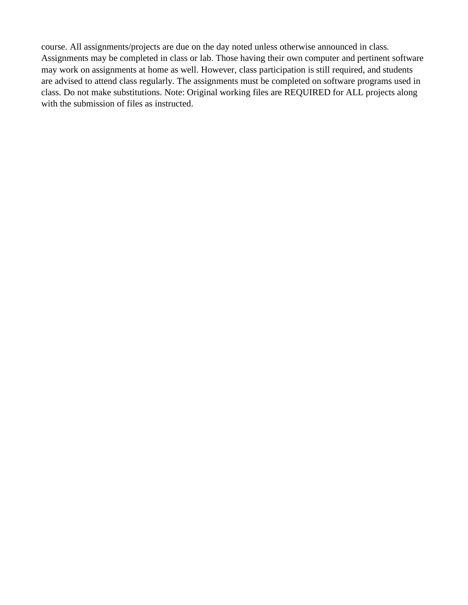course. All assignments/projects are due on the day noted unless otherwise announced in class. Assignments may be completed in class or lab. Those having their own computer and pertinent software may work on assignments at home as well. However, class participation is still required, and students are advised to attend class regularly. The assignments must be completed on software programs used in class. Do not make substitutions. Note: Original working files are REQUIRED for ALL projects along with the submission of files as instructed.